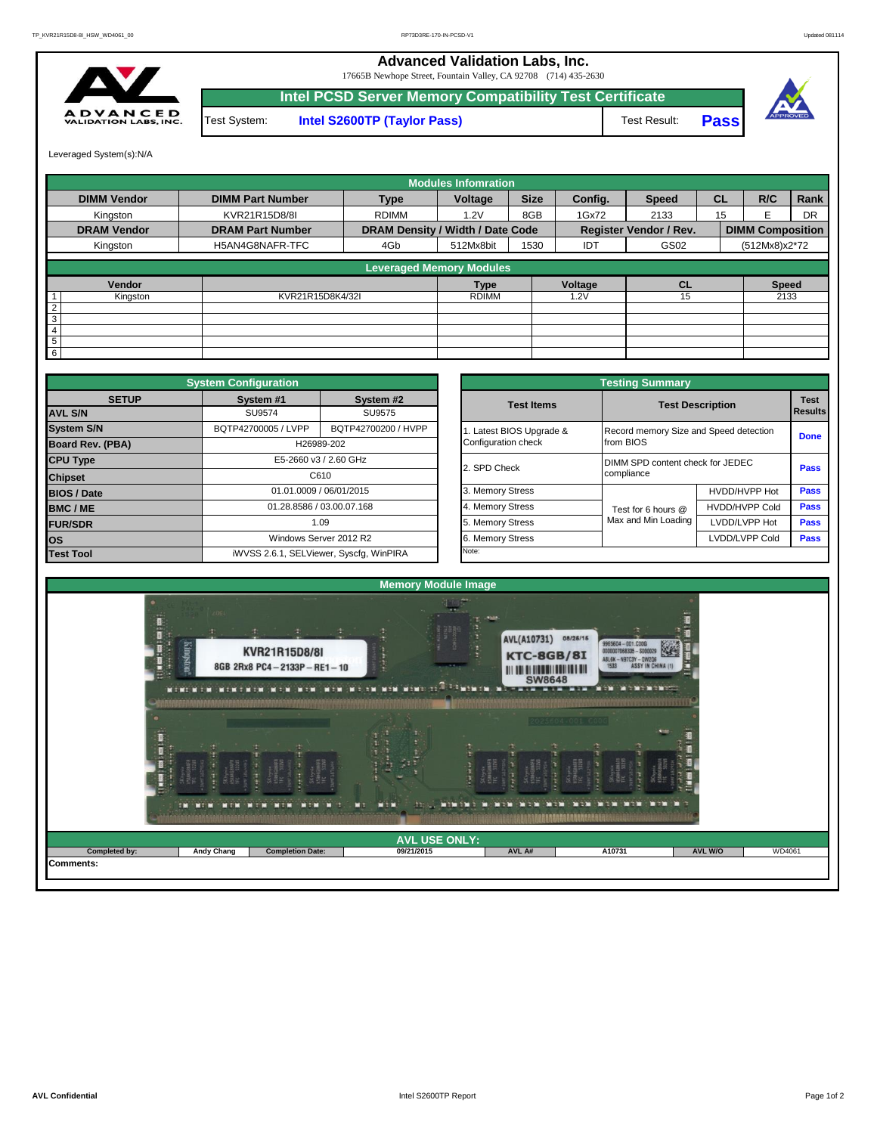## **Advanced Validation Labs, Inc.**

17665B Newhope Street, Fountain Valley, CA 92708 (714) 435-2630



**Intel PCSD Server Memory Compatibility Test Certificate Pass** Test System: **Intel S2600TP (Taylor Pass)** Test Result:



Leveraged System(s):N/A

|                    |                         |                                  | <b>Modules Infomration</b> |             |         |                               |           |                         |           |
|--------------------|-------------------------|----------------------------------|----------------------------|-------------|---------|-------------------------------|-----------|-------------------------|-----------|
| <b>DIMM Vendor</b> | <b>DIMM Part Number</b> | <b>Type</b>                      | Voltage                    | <b>Size</b> | Config. | <b>Speed</b>                  | <b>CL</b> | R/C                     | Rank      |
| Kingston           | KVR21R15D8/8I           | <b>RDIMM</b>                     | 1.2V                       | 8GB         | 1Gx72   | 2133                          | 15        | F                       | <b>DR</b> |
| <b>DRAM Vendor</b> | <b>DRAM Part Number</b> | DRAM Density / Width / Date Code |                            |             |         | <b>Register Vendor / Rev.</b> |           | <b>DIMM Composition</b> |           |
| Kingston           | H5AN4G8NAFR-TFC         | 4Gb                              | 512Mx8bit                  | 1530        | IDT     | GS02                          |           | (512Mx8)x2*72           |           |
|                    |                         | <b>Leveraged Memory Modules</b>  |                            |             |         |                               |           |                         |           |
| Vendor             |                         |                                  | <b>Type</b>                |             | Voltage | <b>CL</b>                     |           | <b>Speed</b>            |           |
| Kingston           | KVR21R15D8K4/32I        |                                  | <b>RDIMM</b>               |             | .2V     | 15                            |           | 2133                    |           |
| $\overline{2}$     |                         |                                  |                            |             |         |                               |           |                         |           |
| $\overline{3}$     |                         |                                  |                            |             |         |                               |           |                         |           |
| $\overline{4}$     |                         |                                  |                            |             |         |                               |           |                         |           |
| 5                  |                         |                                  |                            |             |         |                               |           |                         |           |
| $6 \,$             |                         |                                  |                            |             |         |                               |           |                         |           |

|                         | <b>System Configuration</b> |                                         |  |                       | <b>Testing Summary</b>                 |                         |                |  |
|-------------------------|-----------------------------|-----------------------------------------|--|-----------------------|----------------------------------------|-------------------------|----------------|--|
| <b>SETUP</b>            | System #1                   | System #2                               |  | <b>Test Items</b>     |                                        | <b>Test Description</b> | <b>Test</b>    |  |
| <b>AVL S/N</b>          | SU9574                      | SU9575                                  |  |                       |                                        |                         | <b>Results</b> |  |
| <b>System S/N</b>       | BQTP42700005 / LVPP         | BQTP42700200 / HVPP                     |  | Latest BIOS Upgrade & | Record memory Size and Speed detection |                         | <b>Done</b>    |  |
| <b>Board Rev. (PBA)</b> |                             | H26989-202                              |  | Configuration check   | from BIOS                              |                         |                |  |
| <b>CPU Type</b>         | E5-2660 v3 / 2.60 GHz       |                                         |  | 2. SPD Check          | DIMM SPD content check for JEDEC       |                         |                |  |
| <b>Chipset</b>          |                             | C610                                    |  |                       | compliance                             |                         | Pass           |  |
| <b>BIOS / Date</b>      |                             | 01.01.0009 / 06/01/2015                 |  | 3. Memory Stress      |                                        | HVDD/HVPP Hot           | <b>Pass</b>    |  |
| <b>BMC/ME</b>           |                             | 01.28.8586 / 03.00.07.168               |  | 4. Memory Stress      | Test for 6 hours @                     | <b>HVDD/HVPP Cold</b>   | <b>Pass</b>    |  |
| <b>FUR/SDR</b>          |                             | 1.09                                    |  | 5. Memory Stress      | Max and Min Loading                    | LVDD/LVPP Hot           | <b>Pass</b>    |  |
| <b>los</b>              |                             | Windows Server 2012 R2                  |  | 6. Memory Stress      |                                        | LVDD/LVPP Cold          | <b>Pass</b>    |  |
| <b>Test Tool</b>        |                             | iWVSS 2.6.1, SELViewer, Syscfq, WinPIRA |  | Note:                 |                                        |                         |                |  |

|              | <b>System Configuration</b> |                                         |                       | <b>Testing Summary</b>                 |                                          |             |  |  |
|--------------|-----------------------------|-----------------------------------------|-----------------------|----------------------------------------|------------------------------------------|-------------|--|--|
| <b>SETUP</b> | System #1<br>SU9574         | System #2<br>SU9575                     | <b>Test Items</b>     |                                        | <b>Test Description</b>                  |             |  |  |
|              | BQTP42700005 / LVPP         | BQTP42700200 / HVPP                     | Latest BIOS Upgrade & | Record memory Size and Speed detection |                                          |             |  |  |
| PBA)         |                             | H26989-202                              | Configuration check   | from BIOS                              |                                          | <b>Done</b> |  |  |
|              |                             | E5-2660 v3 / 2.60 GHz                   | 2. SPD Check          |                                        | DIMM SPD content check for JEDEC<br>Pass |             |  |  |
|              |                             | C610                                    |                       | compliance                             |                                          |             |  |  |
|              |                             | 01.01.0009 / 06/01/2015                 | 3. Memory Stress      |                                        | HVDD/HVPP Hot                            |             |  |  |
|              |                             | 01.28.8586 / 03.00.07.168               | 4. Memory Stress      | Test for 6 hours @                     | <b>HVDD/HVPP Cold</b>                    |             |  |  |
|              |                             | 1.09                                    | 5. Memory Stress      | Max and Min Loading                    | LVDD/LVPP Hot                            |             |  |  |
|              |                             | Windows Server 2012 R2                  | 6. Memory Stress      |                                        | LVDD/LVPP Cold                           |             |  |  |
|              |                             | iWVSS 2.6.1, SELViewer, Syscfg, WinPIRA | Note:                 |                                        |                                          |             |  |  |